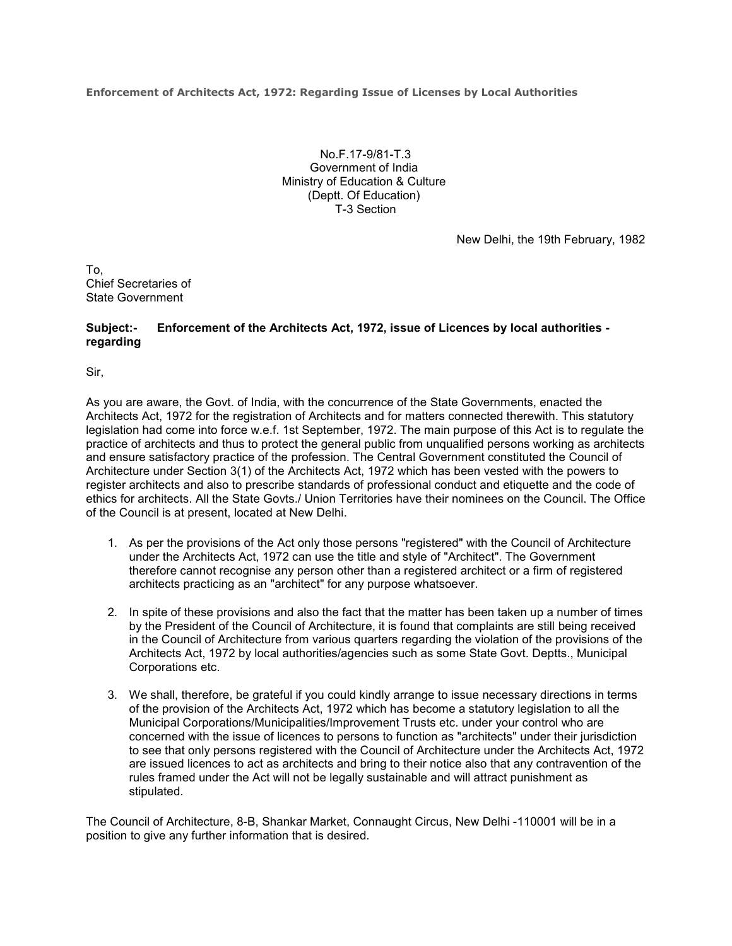**Enforcement of Architects Act, 1972: Regarding Issue of Licenses by Local Authorities**

No.F.17-9/81-T.3 Government of India Ministry of Education & Culture (Deptt. Of Education) T-3 Section

New Delhi, the 19th February, 1982

To, Chief Secretaries of State Government

## **Subject:- Enforcement of the Architects Act, 1972, issue of Licences by local authorities regarding**

Sir,

As you are aware, the Govt. of India, with the concurrence of the State Governments, enacted the Architects Act, 1972 for the registration of Architects and for matters connected therewith. This statutory legislation had come into force w.e.f. 1st September, 1972. The main purpose of this Act is to regulate the practice of architects and thus to protect the general public from unqualified persons working as architects and ensure satisfactory practice of the profession. The Central Government constituted the Council of Architecture under Section 3(1) of the Architects Act, 1972 which has been vested with the powers to register architects and also to prescribe standards of professional conduct and etiquette and the code of ethics for architects. All the State Govts./ Union Territories have their nominees on the Council. The Office of the Council is at present, located at New Delhi.

- 1. As per the provisions of the Act only those persons "registered" with the Council of Architecture under the Architects Act, 1972 can use the title and style of "Architect". The Government therefore cannot recognise any person other than a registered architect or a firm of registered architects practicing as an "architect" for any purpose whatsoever.
- 2. In spite of these provisions and also the fact that the matter has been taken up a number of times by the President of the Council of Architecture, it is found that complaints are still being received in the Council of Architecture from various quarters regarding the violation of the provisions of the Architects Act, 1972 by local authorities/agencies such as some State Govt. Deptts., Municipal Corporations etc.
- 3. We shall, therefore, be grateful if you could kindly arrange to issue necessary directions in terms of the provision of the Architects Act, 1972 which has become a statutory legislation to all the Municipal Corporations/Municipalities/Improvement Trusts etc. under your control who are concerned with the issue of licences to persons to function as "architects" under their jurisdiction to see that only persons registered with the Council of Architecture under the Architects Act, 1972 are issued licences to act as architects and bring to their notice also that any contravention of the rules framed under the Act will not be legally sustainable and will attract punishment as stipulated.

The Council of Architecture, 8-B, Shankar Market, Connaught Circus, New Delhi -110001 will be in a position to give any further information that is desired.